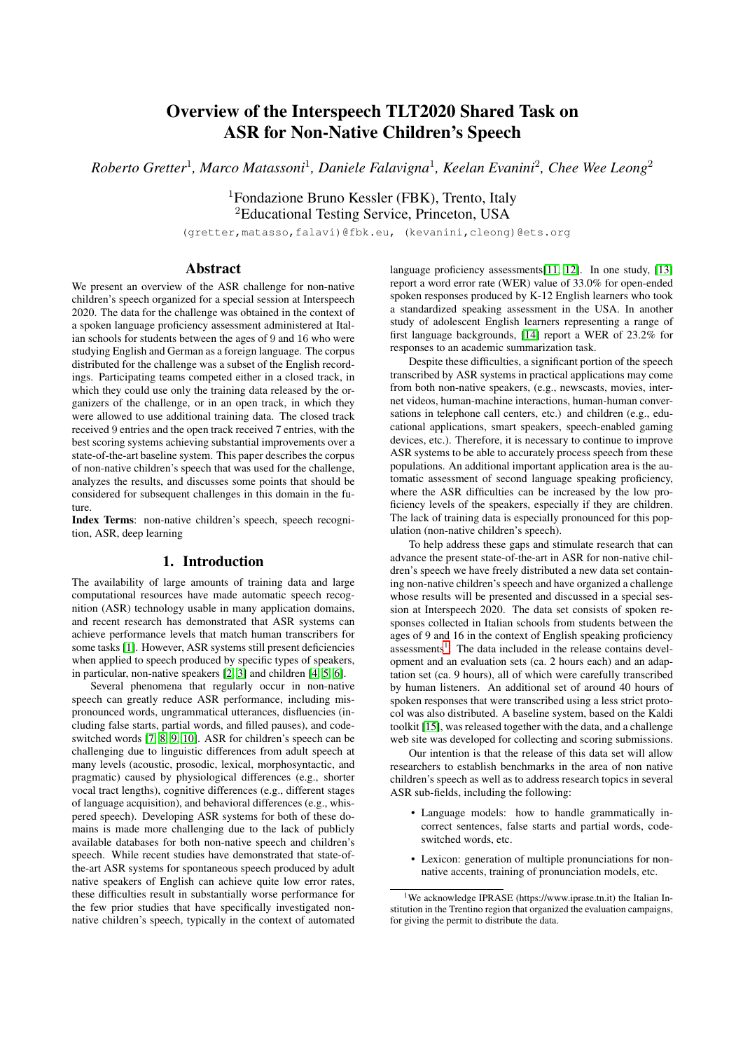# Overview of the Interspeech TLT2020 Shared Task on ASR for Non-Native Children's Speech

*Roberto Gretter*<sup>1</sup> *, Marco Matassoni*<sup>1</sup> *, Daniele Falavigna*<sup>1</sup> *, Keelan Evanini*<sup>2</sup> *, Chee Wee Leong*<sup>2</sup>

<sup>1</sup>Fondazione Bruno Kessler (FBK), Trento, Italy <sup>2</sup>Educational Testing Service, Princeton, USA

(gretter,matasso,falavi)@fbk.eu, (kevanini,cleong)@ets.org

# Abstract

We present an overview of the ASR challenge for non-native children's speech organized for a special session at Interspeech 2020. The data for the challenge was obtained in the context of a spoken language proficiency assessment administered at Italian schools for students between the ages of 9 and 16 who were studying English and German as a foreign language. The corpus distributed for the challenge was a subset of the English recordings. Participating teams competed either in a closed track, in which they could use only the training data released by the organizers of the challenge, or in an open track, in which they were allowed to use additional training data. The closed track received 9 entries and the open track received 7 entries, with the best scoring systems achieving substantial improvements over a state-of-the-art baseline system. This paper describes the corpus of non-native children's speech that was used for the challenge, analyzes the results, and discusses some points that should be considered for subsequent challenges in this domain in the future.

Index Terms: non-native children's speech, speech recognition, ASR, deep learning

# 1. Introduction

The availability of large amounts of training data and large computational resources have made automatic speech recognition (ASR) technology usable in many application domains, and recent research has demonstrated that ASR systems can achieve performance levels that match human transcribers for some tasks [\[1\]](#page-4-0). However, ASR systems still present deficiencies when applied to speech produced by specific types of speakers, in particular, non-native speakers [\[2,](#page-4-1) [3\]](#page-4-2) and children [\[4,](#page-4-3) [5,](#page-4-4) [6\]](#page-4-5).

Several phenomena that regularly occur in non-native speech can greatly reduce ASR performance, including mispronounced words, ungrammatical utterances, disfluencies (including false starts, partial words, and filled pauses), and codeswitched words [\[7,](#page-4-6) [8,](#page-4-7) [9,](#page-4-8) [10\]](#page-4-9). ASR for children's speech can be challenging due to linguistic differences from adult speech at many levels (acoustic, prosodic, lexical, morphosyntactic, and pragmatic) caused by physiological differences (e.g., shorter vocal tract lengths), cognitive differences (e.g., different stages of language acquisition), and behavioral differences (e.g., whispered speech). Developing ASR systems for both of these domains is made more challenging due to the lack of publicly available databases for both non-native speech and children's speech. While recent studies have demonstrated that state-ofthe-art ASR systems for spontaneous speech produced by adult native speakers of English can achieve quite low error rates, these difficulties result in substantially worse performance for the few prior studies that have specifically investigated nonnative children's speech, typically in the context of automated language proficiency assessments[\[11,](#page-4-10) [12\]](#page-4-11). In one study, [\[13\]](#page-4-12) report a word error rate (WER) value of 33.0% for open-ended spoken responses produced by K-12 English learners who took a standardized speaking assessment in the USA. In another study of adolescent English learners representing a range of first language backgrounds, [\[14\]](#page-4-13) report a WER of 23.2% for responses to an academic summarization task.

Despite these difficulties, a significant portion of the speech transcribed by ASR systems in practical applications may come from both non-native speakers, (e.g., newscasts, movies, internet videos, human-machine interactions, human-human conversations in telephone call centers, etc.) and children (e.g., educational applications, smart speakers, speech-enabled gaming devices, etc.). Therefore, it is necessary to continue to improve ASR systems to be able to accurately process speech from these populations. An additional important application area is the automatic assessment of second language speaking proficiency, where the ASR difficulties can be increased by the low proficiency levels of the speakers, especially if they are children. The lack of training data is especially pronounced for this population (non-native children's speech).

To help address these gaps and stimulate research that can advance the present state-of-the-art in ASR for non-native children's speech we have freely distributed a new data set containing non-native children's speech and have organized a challenge whose results will be presented and discussed in a special session at Interspeech 2020. The data set consists of spoken responses collected in Italian schools from students between the ages of 9 and 16 in the context of English speaking proficiency assessments<sup>[1](#page-0-0)</sup>. The data included in the release contains development and an evaluation sets (ca. 2 hours each) and an adaptation set (ca. 9 hours), all of which were carefully transcribed by human listeners. An additional set of around 40 hours of spoken responses that were transcribed using a less strict protocol was also distributed. A baseline system, based on the Kaldi toolkit [\[15\]](#page-4-14), was released together with the data, and a challenge web site was developed for collecting and scoring submissions.

Our intention is that the release of this data set will allow researchers to establish benchmarks in the area of non native children's speech as well as to address research topics in several ASR sub-fields, including the following:

- Language models: how to handle grammatically incorrect sentences, false starts and partial words, codeswitched words, etc.
- Lexicon: generation of multiple pronunciations for nonnative accents, training of pronunciation models, etc.

<span id="page-0-0"></span> $1$ We acknowledge IPRASE (https://www.iprase.tn.it) the Italian Institution in the Trentino region that organized the evaluation campaigns, for giving the permit to distribute the data.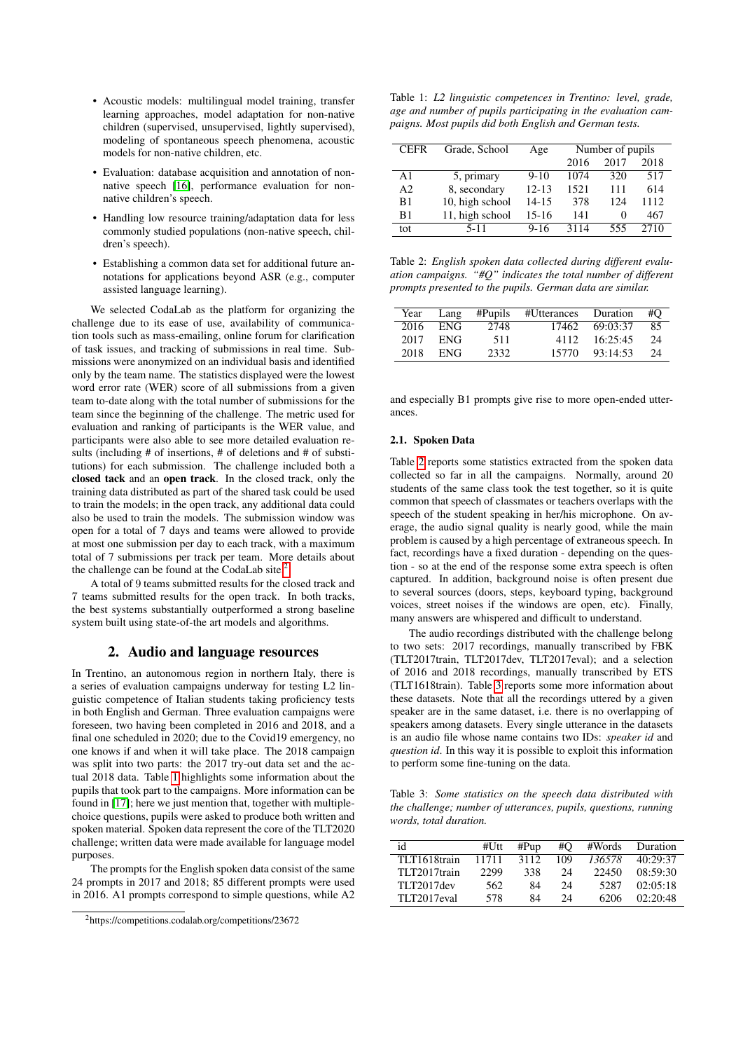- Acoustic models: multilingual model training, transfer learning approaches, model adaptation for non-native children (supervised, unsupervised, lightly supervised), modeling of spontaneous speech phenomena, acoustic models for non-native children, etc.
- Evaluation: database acquisition and annotation of nonnative speech [\[16\]](#page-4-15), performance evaluation for nonnative children's speech.
- Handling low resource training/adaptation data for less commonly studied populations (non-native speech, children's speech).
- Establishing a common data set for additional future annotations for applications beyond ASR (e.g., computer assisted language learning).

We selected CodaLab as the platform for organizing the challenge due to its ease of use, availability of communication tools such as mass-emailing, online forum for clarification of task issues, and tracking of submissions in real time. Submissions were anonymized on an individual basis and identified only by the team name. The statistics displayed were the lowest word error rate (WER) score of all submissions from a given team to-date along with the total number of submissions for the team since the beginning of the challenge. The metric used for evaluation and ranking of participants is the WER value, and participants were also able to see more detailed evaluation results (including # of insertions, # of deletions and # of substitutions) for each submission. The challenge included both a closed tack and an open track. In the closed track, only the training data distributed as part of the shared task could be used to train the models; in the open track, any additional data could also be used to train the models. The submission window was open for a total of 7 days and teams were allowed to provide at most one submission per day to each track, with a maximum total of 7 submissions per track per team. More details about the challenge can be found at the CodaLab site. $<sup>2</sup>$  $<sup>2</sup>$  $<sup>2</sup>$ </sup>

A total of 9 teams submitted results for the closed track and 7 teams submitted results for the open track. In both tracks, the best systems substantially outperformed a strong baseline system built using state-of-the art models and algorithms.

## 2. Audio and language resources

In Trentino, an autonomous region in northern Italy, there is a series of evaluation campaigns underway for testing L2 linguistic competence of Italian students taking proficiency tests in both English and German. Three evaluation campaigns were foreseen, two having been completed in 2016 and 2018, and a final one scheduled in 2020; due to the Covid19 emergency, no one knows if and when it will take place. The 2018 campaign was split into two parts: the 2017 try-out data set and the actual 2018 data. Table [1](#page-1-1) highlights some information about the pupils that took part to the campaigns. More information can be found in [\[17\]](#page-4-16); here we just mention that, together with multiplechoice questions, pupils were asked to produce both written and spoken material. Spoken data represent the core of the TLT2020 challenge; written data were made available for language model purposes.

The prompts for the English spoken data consist of the same 24 prompts in 2017 and 2018; 85 different prompts were used in 2016. A1 prompts correspond to simple questions, while A2

<span id="page-1-1"></span>Table 1: *L2 linguistic competences in Trentino: level, grade, age and number of pupils participating in the evaluation campaigns. Most pupils did both English and German tests.*

| <b>CEFR</b>    | Grade, School   | Age       | Number of pupils |                   |      |
|----------------|-----------------|-----------|------------------|-------------------|------|
|                |                 |           | 2016             | 2017              | 2018 |
| A1             | 5, primary      | $9-10$    | 1074             | 320               | 517  |
| A <sub>2</sub> | 8, secondary    | $12 - 13$ | 1521             | 111               | 614  |
| B1             | 10, high school | 14-15     | 378              | 124               | 1112 |
| B1             | 11, high school | $15-16$   | 141              | $\mathbf{\Omega}$ | 467  |
| tot            | $5 - 11$        | $9 - 16$  | 3114             | 555               | 2710 |

<span id="page-1-2"></span>Table 2: *English spoken data collected during different evaluation campaigns. "#Q" indicates the total number of different prompts presented to the pupils. German data are similar.*

| Year | Lang       | $\#P$ upils | #Utterances | Duration | #O |
|------|------------|-------------|-------------|----------|----|
| 2016 | <b>ENG</b> | 2748        | 17462       | 69:03:37 | 85 |
| 2017 | <b>ENG</b> | 511         | 4112        | 16:25:45 | 24 |
| 2018 | ENG.       | 2332        | 15770       | 93:14:53 | 24 |

and especially B1 prompts give rise to more open-ended utterances.

#### 2.1. Spoken Data

Table [2](#page-1-2) reports some statistics extracted from the spoken data collected so far in all the campaigns. Normally, around 20 students of the same class took the test together, so it is quite common that speech of classmates or teachers overlaps with the speech of the student speaking in her/his microphone. On average, the audio signal quality is nearly good, while the main problem is caused by a high percentage of extraneous speech. In fact, recordings have a fixed duration - depending on the question - so at the end of the response some extra speech is often captured. In addition, background noise is often present due to several sources (doors, steps, keyboard typing, background voices, street noises if the windows are open, etc). Finally, many answers are whispered and difficult to understand.

The audio recordings distributed with the challenge belong to two sets: 2017 recordings, manually transcribed by FBK (TLT2017train, TLT2017dev, TLT2017eval); and a selection of 2016 and 2018 recordings, manually transcribed by ETS (TLT1618train). Table [3](#page-1-3) reports some more information about these datasets. Note that all the recordings uttered by a given speaker are in the same dataset, i.e. there is no overlapping of speakers among datasets. Every single utterance in the datasets is an audio file whose name contains two IDs: *speaker id* and *question id*. In this way it is possible to exploit this information to perform some fine-tuning on the data.

<span id="page-1-3"></span>Table 3: *Some statistics on the speech data distributed with the challenge; number of utterances, pupils, questions, running words, total duration.*

| id           | #Utt  | #Pup | #O  | #Words | Duration |
|--------------|-------|------|-----|--------|----------|
| TLT1618train | 11711 | 3112 | 109 | 136578 | 40:29:37 |
| TLT2017train | 2299  | 338  | 24  | 22450  | 08:59:30 |
| TLT2017dev   | 562   | 84   | 24  | 5287   | 02:05:18 |
| TI T2017eval | 578   | 84   | 24  | 6206   | 02.20.48 |

<span id="page-1-0"></span><sup>2</sup>https://competitions.codalab.org/competitions/23672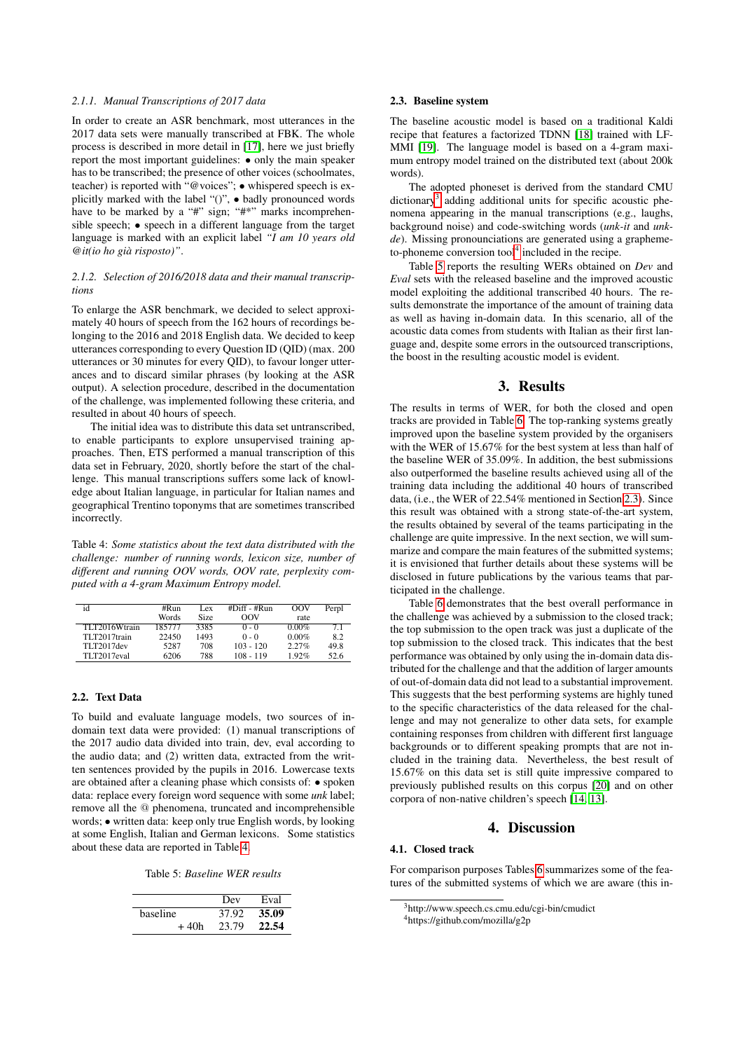## *2.1.1. Manual Transcriptions of 2017 data*

In order to create an ASR benchmark, most utterances in the 2017 data sets were manually transcribed at FBK. The whole process is described in more detail in [\[17\]](#page-4-16), here we just briefly report the most important guidelines: • only the main speaker has to be transcribed; the presence of other voices (schoolmates, teacher) is reported with "@voices"; • whispered speech is explicitly marked with the label "()", • badly pronounced words have to be marked by a "#" sign; "#\*" marks incomprehensible speech; • speech in a different language from the target language is marked with an explicit label *"I am 10 years old @it(io ho gia risposto)" `* .

#### *2.1.2. Selection of 2016/2018 data and their manual transcriptions*

To enlarge the ASR benchmark, we decided to select approximately 40 hours of speech from the 162 hours of recordings belonging to the 2016 and 2018 English data. We decided to keep utterances corresponding to every Question ID (QID) (max. 200 utterances or 30 minutes for every QID), to favour longer utterances and to discard similar phrases (by looking at the ASR output). A selection procedure, described in the documentation of the challenge, was implemented following these criteria, and resulted in about 40 hours of speech.

The initial idea was to distribute this data set untranscribed, to enable participants to explore unsupervised training approaches. Then, ETS performed a manual transcription of this data set in February, 2020, shortly before the start of the challenge. This manual transcriptions suffers some lack of knowledge about Italian language, in particular for Italian names and geographical Trentino toponyms that are sometimes transcribed incorrectly.

<span id="page-2-0"></span>Table 4: *Some statistics about the text data distributed with the challenge: number of running words, lexicon size, number of different and running OOV words, OOV rate, perplexity computed with a 4-gram Maximum Entropy model.*

| id            | #Run   | Lex  | $#Diff - #Run$ | OOV      | Perpl |
|---------------|--------|------|----------------|----------|-------|
|               | Words  | Size | OOV            | rate     |       |
| TLT2016Wtrain | 185777 | 3385 | $0 - 0$        | $0.00\%$ | 71    |
| TLT2017train  | 22450  | 1493 | $0 - 0$        | $0.00\%$ | 8.2   |
| TI T2017dev   | 5287   | 708  | $103 - 120$    | 2.27%    | 49.8  |
| TLT2017eval   | 6206   | 788  | $108 - 119$    | 192%     | 52.6  |

#### 2.2. Text Data

To build and evaluate language models, two sources of indomain text data were provided: (1) manual transcriptions of the 2017 audio data divided into train, dev, eval according to the audio data; and (2) written data, extracted from the written sentences provided by the pupils in 2016. Lowercase texts are obtained after a cleaning phase which consists of: • spoken data: replace every foreign word sequence with some *unk* label; remove all the @ phenomena, truncated and incomprehensible words; • written data: keep only true English words, by looking at some English, Italian and German lexicons. Some statistics about these data are reported in Table [4.](#page-2-0)

Table 5: *Baseline WER results*

<span id="page-2-3"></span>

|          | Dev   | Eval  |
|----------|-------|-------|
| baseline | 37.92 | 35.09 |
| + 40h    | 23.79 | 22.54 |

## <span id="page-2-4"></span>2.3. Baseline system

The baseline acoustic model is based on a traditional Kaldi recipe that features a factorized TDNN [\[18\]](#page-4-17) trained with LF-MMI [\[19\]](#page-4-18). The language model is based on a 4-gram maximum entropy model trained on the distributed text (about 200k words).

The adopted phoneset is derived from the standard CMU dictionary<sup>[3](#page-2-1)</sup> adding additional units for specific acoustic phenomena appearing in the manual transcriptions (e.g., laughs, background noise) and code-switching words (*unk-it* and *unkde*). Missing pronounciations are generated using a graphemeto-phoneme conversion  $\text{tool}^4$  $\text{tool}^4$  included in the recipe.

Table [5](#page-2-3) reports the resulting WERs obtained on *Dev* and *Eval* sets with the released baseline and the improved acoustic model exploiting the additional transcribed 40 hours. The results demonstrate the importance of the amount of training data as well as having in-domain data. In this scenario, all of the acoustic data comes from students with Italian as their first language and, despite some errors in the outsourced transcriptions, the boost in the resulting acoustic model is evident.

## 3. Results

The results in terms of WER, for both the closed and open tracks are provided in Table [6.](#page-3-0) The top-ranking systems greatly improved upon the baseline system provided by the organisers with the WER of 15.67% for the best system at less than half of the baseline WER of 35.09%. In addition, the best submissions also outperformed the baseline results achieved using all of the training data including the additional 40 hours of transcribed data, (i.e., the WER of 22.54% mentioned in Section [2.3\)](#page-2-4). Since this result was obtained with a strong state-of-the-art system, the results obtained by several of the teams participating in the challenge are quite impressive. In the next section, we will summarize and compare the main features of the submitted systems; it is envisioned that further details about these systems will be disclosed in future publications by the various teams that participated in the challenge.

Table [6](#page-3-0) demonstrates that the best overall performance in the challenge was achieved by a submission to the closed track; the top submission to the open track was just a duplicate of the top submission to the closed track. This indicates that the best performance was obtained by only using the in-domain data distributed for the challenge and that the addition of larger amounts of out-of-domain data did not lead to a substantial improvement. This suggests that the best performing systems are highly tuned to the specific characteristics of the data released for the challenge and may not generalize to other data sets, for example containing responses from children with different first language backgrounds or to different speaking prompts that are not included in the training data. Nevertheless, the best result of 15.67% on this data set is still quite impressive compared to previously published results on this corpus [\[20\]](#page-4-19) and on other corpora of non-native children's speech [\[14,](#page-4-13) [13\]](#page-4-12).

# 4. Discussion

### 4.1. Closed track

For comparison purposes Tables [6](#page-3-0) summarizes some of the features of the submitted systems of which we are aware (this in-

<span id="page-2-1"></span><sup>&</sup>lt;sup>3</sup>http://www.speech.cs.cmu.edu/cgi-bin/cmudict

<span id="page-2-2"></span><sup>4</sup>https://github.com/mozilla/g2p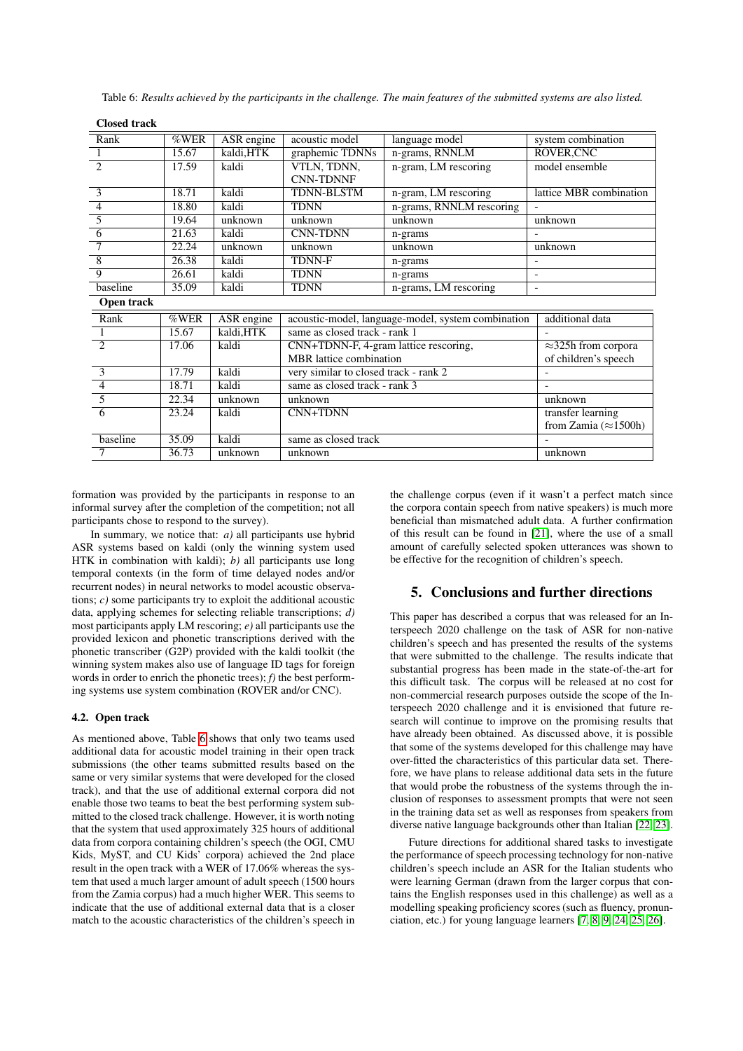| Rank           | %WER  | ASR engine | acoustic model                        | language model                                     | system combination           |
|----------------|-------|------------|---------------------------------------|----------------------------------------------------|------------------------------|
|                | 15.67 | kaldi, HTK | graphemic TDNNs                       | n-grams, RNNLM                                     | ROVER, CNC                   |
| $\overline{2}$ | 17.59 | kaldi      | VTLN, TDNN,                           | n-gram, LM rescoring                               | model ensemble               |
|                |       |            | <b>CNN-TDNNF</b>                      |                                                    |                              |
| 3              | 18.71 | kaldi      | <b>TDNN-BLSTM</b>                     | n-gram, LM rescoring                               | lattice MBR combination      |
| $\overline{4}$ | 18.80 | kaldi      | <b>TDNN</b>                           | n-grams, RNNLM rescoring                           |                              |
| 5              | 19.64 | unknown    | unknown                               | unknown                                            | unknown                      |
| 6              | 21.63 | kaldi      | <b>CNN-TDNN</b>                       | n-grams                                            |                              |
| 7              | 22.24 | unknown    | unknown                               | unknown                                            | unknown                      |
| 8              | 26.38 | kaldi      | <b>TDNN-F</b>                         | n-grams                                            |                              |
| 9              | 26.61 | kaldi      | <b>TDNN</b>                           | n-grams                                            | $\overline{\phantom{a}}$     |
| baseline       | 35.09 | kaldi      | <b>TDNN</b>                           | n-grams, LM rescoring                              | $\overline{\phantom{a}}$     |
| Open track     |       |            |                                       |                                                    |                              |
| Rank           | %WER  | ASR engine |                                       | acoustic-model, language-model, system combination | additional data              |
| $\mathbf{1}$   | 15.67 | kaldi, HTK | same as closed track - rank 1         |                                                    |                              |
| $\overline{2}$ | 17.06 | kaldi      | CNN+TDNN-F, 4-gram lattice rescoring, |                                                    | $\approx$ 325h from corpora  |
|                |       |            | <b>MBR</b> lattice combination        |                                                    | of children's speech         |
| 3              | 17.79 | kaldi      | very similar to closed track - rank 2 |                                                    |                              |
| $\overline{4}$ | 18.71 | kaldi      | same as closed track - rank 3         |                                                    |                              |
| $\overline{5}$ | 22.34 | unknown    | unknown                               |                                                    | unknown                      |
| $\overline{6}$ | 23.24 | kaldi      | CNN+TDNN                              |                                                    | transfer learning            |
|                |       |            |                                       |                                                    | from Zamia $(\approx 1500h)$ |
| baseline       | 35.09 | kaldi      | same as closed track                  |                                                    |                              |
| 7              | 36.73 | unknown    | unknown                               |                                                    | unknown                      |

<span id="page-3-0"></span>Table 6: *Results achieved by the participants in the challenge. The main features of the submitted systems are also listed.*

formation was provided by the participants in response to an informal survey after the completion of the competition; not all participants chose to respond to the survey).

In summary, we notice that: *a)* all participants use hybrid ASR systems based on kaldi (only the winning system used HTK in combination with kaldi); *b)* all participants use long temporal contexts (in the form of time delayed nodes and/or recurrent nodes) in neural networks to model acoustic observations; *c)* some participants try to exploit the additional acoustic data, applying schemes for selecting reliable transcriptions; *d)* most participants apply LM rescoring; *e)* all participants use the provided lexicon and phonetic transcriptions derived with the phonetic transcriber (G2P) provided with the kaldi toolkit (the winning system makes also use of language ID tags for foreign words in order to enrich the phonetic trees); *f)* the best performing systems use system combination (ROVER and/or CNC).

## 4.2. Open track

Closed track

As mentioned above, Table [6](#page-3-0) shows that only two teams used additional data for acoustic model training in their open track submissions (the other teams submitted results based on the same or very similar systems that were developed for the closed track), and that the use of additional external corpora did not enable those two teams to beat the best performing system submitted to the closed track challenge. However, it is worth noting that the system that used approximately 325 hours of additional data from corpora containing children's speech (the OGI, CMU Kids, MyST, and CU Kids' corpora) achieved the 2nd place result in the open track with a WER of 17.06% whereas the system that used a much larger amount of adult speech (1500 hours from the Zamia corpus) had a much higher WER. This seems to indicate that the use of additional external data that is a closer match to the acoustic characteristics of the children's speech in

the challenge corpus (even if it wasn't a perfect match since the corpora contain speech from native speakers) is much more beneficial than mismatched adult data. A further confirmation of this result can be found in [\[21\]](#page-4-20), where the use of a small amount of carefully selected spoken utterances was shown to be effective for the recognition of children's speech.

# 5. Conclusions and further directions

This paper has described a corpus that was released for an Interspeech 2020 challenge on the task of ASR for non-native children's speech and has presented the results of the systems that were submitted to the challenge. The results indicate that substantial progress has been made in the state-of-the-art for this difficult task. The corpus will be released at no cost for non-commercial research purposes outside the scope of the Interspeech 2020 challenge and it is envisioned that future research will continue to improve on the promising results that have already been obtained. As discussed above, it is possible that some of the systems developed for this challenge may have over-fitted the characteristics of this particular data set. Therefore, we have plans to release additional data sets in the future that would probe the robustness of the systems through the inclusion of responses to assessment prompts that were not seen in the training data set as well as responses from speakers from diverse native language backgrounds other than Italian [\[22,](#page-4-21) [23\]](#page-4-22).

Future directions for additional shared tasks to investigate the performance of speech processing technology for non-native children's speech include an ASR for the Italian students who were learning German (drawn from the larger corpus that contains the English responses used in this challenge) as well as a modelling speaking proficiency scores (such as fluency, pronunciation, etc.) for young language learners [\[7,](#page-4-6) [8,](#page-4-7) [9,](#page-4-8) [24,](#page-4-23) [25,](#page-4-24) [26\]](#page-4-25).